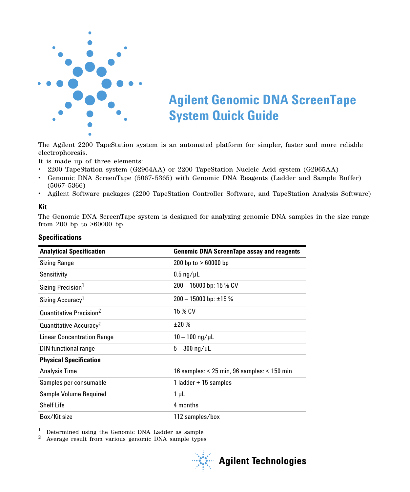

# **Agilent Genomic DNA ScreenTape System Quick Guide**

The Agilent 2200 TapeStation system is an automated platform for simpler, faster and more reliable electrophoresis.

It is made up of three elements:

- **•** 2200 TapeStation system (G2964AA) or 2200 TapeStation Nucleic Acid system (G2965AA)
- **•** Genomic DNA ScreenTape (5067- 5365) with Genomic DNA Reagents (Ladder and Sample Buffer) (5067- 5366)
- **•** Agilent Software packages (2200 TapeStation Controller Software, and TapeStation Analysis Software)

## **Kit**

The Genomic DNA ScreenTape system is designed for analyzing genomic DNA samples in the size range from 200 bp to >60000 bp.

<span id="page-0-1"></span><span id="page-0-0"></span>

| <b>Analytical Specification</b>     | <b>Genomic DNA ScreenTape assay and reagents</b> |
|-------------------------------------|--------------------------------------------------|
| <b>Sizing Range</b>                 | 200 bp to $> 60000$ bp                           |
| Sensitivity                         | $0.5 \text{ ng}/\mu L$                           |
| Sizing Precision <sup>1</sup>       | $200 - 15000$ bp: 15 % CV                        |
| Sizing Accuracy <sup>1</sup>        | $200 - 15000$ bp: $\pm 15$ %                     |
| Quantitative Precision <sup>2</sup> | 15 % CV                                          |
| Quantitative Accuracy <sup>2</sup>  | ±20%                                             |
| Linear Concentration Range          | $10 - 100$ ng/ $\mu$ L                           |
| DIN functional range                | $5 - 300 \text{ ng/}\mu$ L                       |
| <b>Physical Specification</b>       |                                                  |
| <b>Analysis Time</b>                | 16 samples: $<$ 25 min, 96 samples: $<$ 150 min  |
| Samples per consumable              | 1 ladder + 15 samples                            |
| Sample Volume Required              | 1 µL                                             |
| <b>Shelf Life</b>                   | 4 months                                         |
| Box/Kit size                        | 112 samples/box                                  |

 $1$  Determined using the Genomic DNA Ladder as sample

<sup>2</sup> Average result from various genomic DNA sample types

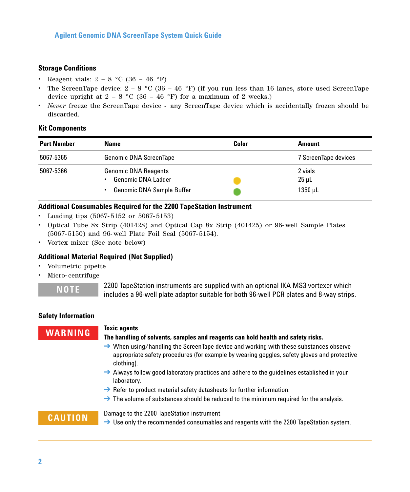## **Storage Conditions**

- Reagent vials:  $2 8$  °C (36 46 °F)
- **•** The ScreenTape device: 2 8 °C (36 46 °F) (if you run less than 16 lanes, store used ScreenTape device upright at  $2 - 8$  °C (36 – 46 °F) for a maximum of 2 weeks.)
- **•** *Never* freeze the ScreenTape device any ScreenTape device which is accidentally frozen should be discarded.

## **Kit Components**

| <b>Part Number</b> | <b>Name</b>                                                                                  | Color | Amount                                |
|--------------------|----------------------------------------------------------------------------------------------|-------|---------------------------------------|
| 5067-5365          | <b>Genomic DNA ScreenTape</b>                                                                |       | 7 ScreenTape devices                  |
| 5067-5366          | <b>Genomic DNA Reagents</b><br><b>Genomic DNA Ladder</b><br><b>Genomic DNA Sample Buffer</b> |       | 2 vials<br>$25 \mu L$<br>$1350 \mu L$ |

## **Additional Consumables Required for the 2200 TapeStation Instrument**

- **•** Loading tips (5067- 5152 or 5067- 5153)
- **•** Optical Tube 8x Strip (401428) and Optical Cap 8x Strip (401425) or 96- well Sample Plates (5067- 5150) and 96- well Plate Foil Seal (5067- 5154).
- **•** Vortex mixer (See note below)

## **Additional Material Required (Not Supplied)**

- **•** Volumetric pipette
- **•** Micro- centrifuge

**NOTE** 2200 TapeStation instruments are supplied with an optional IKA MS3 vortexer which includes a 96-well plate adaptor suitable for both 96-well PCR plates and 8-way strips.

### **Safety Information**

## **WARNING Toxic agents**

## **The handling of solvents, samples and reagents can hold health and safety risks.**

- $\rightarrow$  When using/handling the ScreenTape device and working with these substances observe appropriate safety procedures (for example by wearing goggles, safety gloves and protective clothing).
- $\rightarrow$  Always follow good laboratory practices and adhere to the guidelines established in your laboratory.
- $\rightarrow$  Refer to product material safety datasheets for further information.
- $\rightarrow$  The volume of substances should be reduced to the minimum required for the analysis.

**CAUTION** Damage to the 2200 TapeStation instrument

 $\rightarrow$  Use only the recommended consumables and reagents with the 2200 TapeStation system.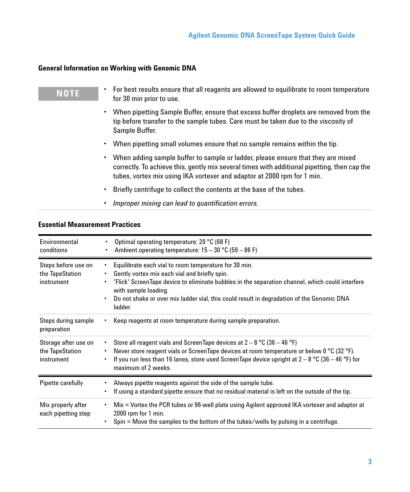## **General Information on Working with Genomic DNA**

| <b>NOTE</b> | For best results ensure that all reagents are allowed to equilibrate to room temperature<br>for 30 min prior to use.                                                                                                                                                     |
|-------------|--------------------------------------------------------------------------------------------------------------------------------------------------------------------------------------------------------------------------------------------------------------------------|
|             | When pipetting Sample Buffer, ensure that excess buffer droplets are removed from the<br>tip before transfer to the sample tubes. Care must be taken due to the viscosity of<br>Sample Buffer.                                                                           |
|             | When pipetting small volumes ensure that no sample remains within the tip.<br>٠                                                                                                                                                                                          |
|             | When adding sample buffer to sample or ladder, please ensure that they are mixed<br>$\bullet$<br>correctly. To achieve this, gently mix several times with additional pipetting, then cap the<br>tubes, vortex mix using IKA vortexer and adaptor at 2000 rpm for 1 min. |
|             | Briefly centrifuge to collect the contents at the base of the tubes.                                                                                                                                                                                                     |
|             | Improper mixing can lead to quantification errors.                                                                                                                                                                                                                       |

## **Essential Measurement Practices**

| Environmental<br>conditions                           | Optimal operating temperature: 20 °C (68 F)<br>Ambient operating temperature: $15 - 30$ °C (59 – 86 F)                                                                                                                                                                                                                                    |
|-------------------------------------------------------|-------------------------------------------------------------------------------------------------------------------------------------------------------------------------------------------------------------------------------------------------------------------------------------------------------------------------------------------|
| Steps before use on<br>the TapeStation<br>instrument  | Equilibrate each vial to room temperature for 30 min.<br>Gently vortex mix each vial and briefly spin.<br>'Flick' ScreenTape device to eliminate bubbles in the separation channel, which could interfere<br>with sample loading.<br>Do not shake or over mix ladder vial, this could result in degradation of the Genomic DNA<br>ladder. |
| Steps during sample<br>preparation                    | Keep reagents at room temperature during sample preparation.                                                                                                                                                                                                                                                                              |
| Storage after use on<br>the TapeStation<br>instrument | Store all reagent vials and ScreenTape devices at $2 - 8$ °C (36 – 46 °F)<br>$\bullet$<br>Never store reagent vials or ScreenTape devices at room temperature or below 0 °C (32 °F).<br>If you run less than 16 lanes, store used ScreenTape device upright at $2-8$ °C (36 - 46 °F) for<br>maximum of 2 weeks.                           |
| Pipette carefully                                     | Always pipette reagents against the side of the sample tube.<br>If using a standard pipette ensure that no residual material is left on the outside of the tip.                                                                                                                                                                           |
| Mix properly after<br>each pipetting step             | $Mix = Vortex$ the PCR tubes or 96-well plate using Agilent approved IKA vortexer and adaptor at<br>٠<br>2000 rpm for 1 min.<br>Spin = Move the samples to the bottom of the tubes/wells by pulsing in a centrifuge.                                                                                                                      |